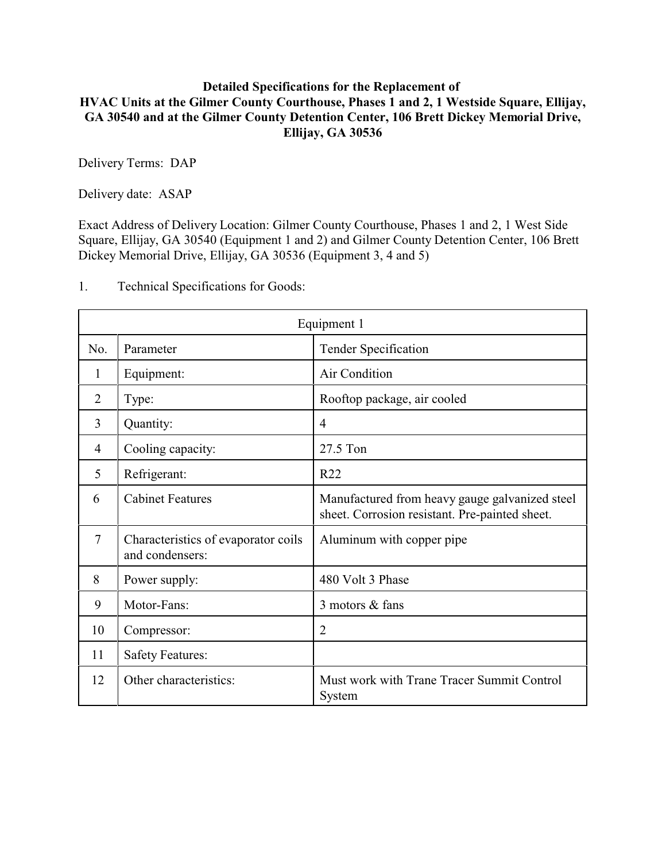## **Detailed Specifications for the Replacement of HVAC Units at the Gilmer County Courthouse, Phases 1 and 2, 1 Westside Square, Ellijay, GA 30540 and at the Gilmer County Detention Center, 106 Brett Dickey Memorial Drive, Ellijay, GA 30536**

Delivery Terms: DAP

Delivery date: ASAP

Exact Address of Delivery Location: Gilmer County Courthouse, Phases 1 and 2, 1 West Side Square, Ellijay, GA 30540 (Equipment 1 and 2) and Gilmer County Detention Center, 106 Brett Dickey Memorial Drive, Ellijay, GA 30536 (Equipment 3, 4 and 5)

| Equipment 1    |                                                        |                                                                                                  |
|----------------|--------------------------------------------------------|--------------------------------------------------------------------------------------------------|
| No.            | Parameter                                              | <b>Tender Specification</b>                                                                      |
| 1              | Equipment:                                             | Air Condition                                                                                    |
| 2              | Type:                                                  | Rooftop package, air cooled                                                                      |
| $\overline{3}$ | Quantity:                                              | 4                                                                                                |
| 4              | Cooling capacity:                                      | 27.5 Ton                                                                                         |
| 5              | Refrigerant:                                           | R22                                                                                              |
| 6              | <b>Cabinet Features</b>                                | Manufactured from heavy gauge galvanized steel<br>sheet. Corrosion resistant. Pre-painted sheet. |
| $\tau$         | Characteristics of evaporator coils<br>and condensers: | Aluminum with copper pipe                                                                        |
| 8              | Power supply:                                          | 480 Volt 3 Phase                                                                                 |
| 9              | Motor-Fans:                                            | 3 motors & fans                                                                                  |
| 10             | Compressor:                                            | $\overline{2}$                                                                                   |
| 11             | <b>Safety Features:</b>                                |                                                                                                  |
| 12             | Other characteristics:                                 | Must work with Trane Tracer Summit Control<br>System                                             |

1. Technical Specifications for Goods: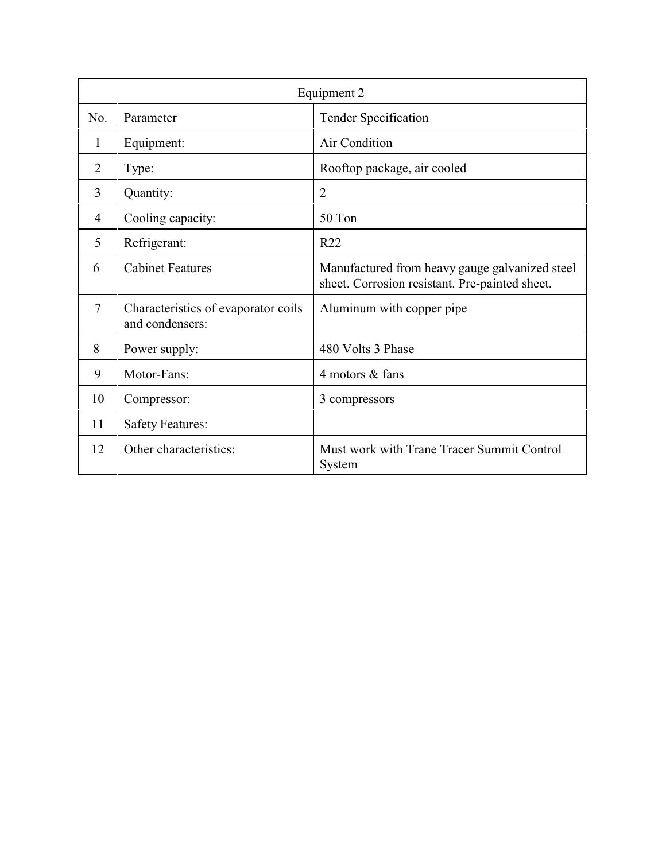| Equipment 2    |                                                        |                                                                                                  |
|----------------|--------------------------------------------------------|--------------------------------------------------------------------------------------------------|
| No.            | Parameter                                              | <b>Tender Specification</b>                                                                      |
| 1              | Equipment:                                             | Air Condition                                                                                    |
| $\overline{2}$ | Type:                                                  | Rooftop package, air cooled                                                                      |
| 3              | Quantity:                                              | $\overline{2}$                                                                                   |
| 4              | Cooling capacity:                                      | 50 Ton                                                                                           |
| 5              | Refrigerant:                                           | R22                                                                                              |
| 6              | <b>Cabinet Features</b>                                | Manufactured from heavy gauge galvanized steel<br>sheet. Corrosion resistant. Pre-painted sheet. |
| $\tau$         | Characteristics of evaporator coils<br>and condensers: | Aluminum with copper pipe                                                                        |
| 8              | Power supply:                                          | 480 Volts 3 Phase                                                                                |
| 9              | Motor-Fans:                                            | 4 motors & fans                                                                                  |
| 10             | Compressor:                                            | 3 compressors                                                                                    |
| 11             | <b>Safety Features:</b>                                |                                                                                                  |
| 12             | Other characteristics:                                 | Must work with Trane Tracer Summit Control<br>System                                             |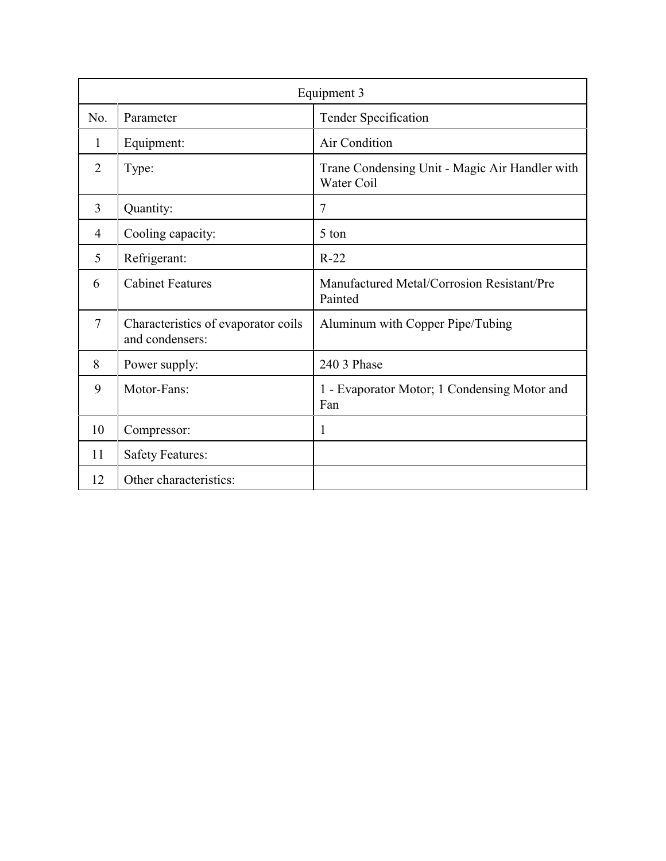| Equipment 3    |                                                        |                                                              |
|----------------|--------------------------------------------------------|--------------------------------------------------------------|
| No.            | Parameter                                              | Tender Specification                                         |
| 1              | Equipment:                                             | Air Condition                                                |
| $\overline{2}$ | Type:                                                  | Trane Condensing Unit - Magic Air Handler with<br>Water Coil |
| 3              | Quantity:                                              | 7                                                            |
| 4              | Cooling capacity:                                      | 5 ton                                                        |
| 5              | Refrigerant:                                           | $R-22$                                                       |
| 6              | <b>Cabinet Features</b>                                | Manufactured Metal/Corrosion Resistant/Pre<br>Painted        |
| $\overline{7}$ | Characteristics of evaporator coils<br>and condensers: | Aluminum with Copper Pipe/Tubing                             |
| 8              | Power supply:                                          | 240 3 Phase                                                  |
| 9              | Motor-Fans:                                            | 1 - Evaporator Motor; 1 Condensing Motor and<br>Fan          |
| 10             | Compressor:                                            | 1                                                            |
| 11             | <b>Safety Features:</b>                                |                                                              |
| 12             | Other characteristics:                                 |                                                              |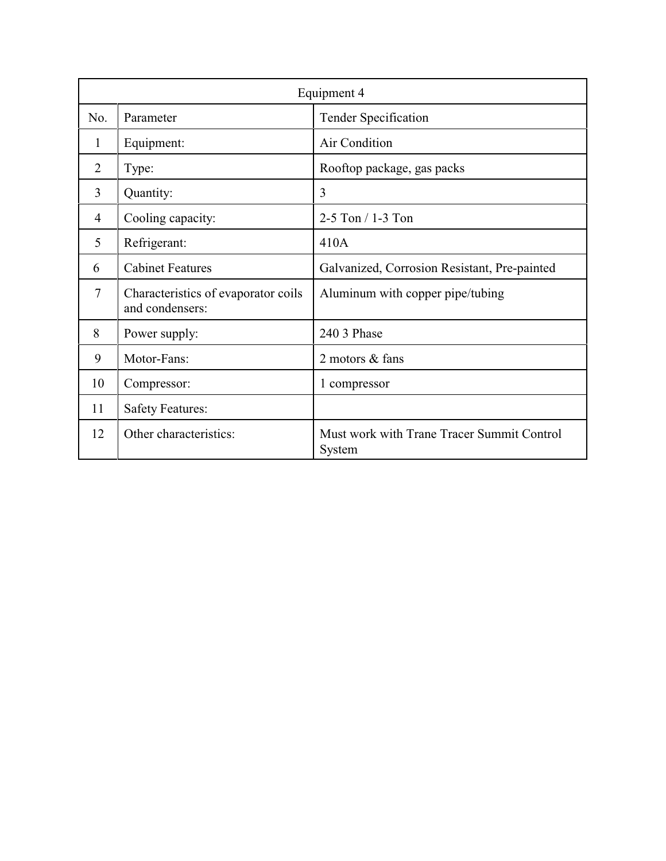| Equipment 4 |                                                        |                                                      |
|-------------|--------------------------------------------------------|------------------------------------------------------|
| No.         | Parameter                                              | <b>Tender Specification</b>                          |
| 1           | Equipment:                                             | Air Condition                                        |
| 2           | Type:                                                  | Rooftop package, gas packs                           |
| 3           | Quantity:                                              | 3                                                    |
| 4           | Cooling capacity:                                      | 2-5 Ton / 1-3 Ton                                    |
| 5           | Refrigerant:                                           | 410A                                                 |
| 6           | <b>Cabinet Features</b>                                | Galvanized, Corrosion Resistant, Pre-painted         |
| 7           | Characteristics of evaporator coils<br>and condensers: | Aluminum with copper pipe/tubing                     |
| 8           | Power supply:                                          | 240 3 Phase                                          |
| 9           | Motor-Fans:                                            | 2 motors & fans                                      |
| 10          | Compressor:                                            | 1 compressor                                         |
| 11          | <b>Safety Features:</b>                                |                                                      |
| 12          | Other characteristics:                                 | Must work with Trane Tracer Summit Control<br>System |